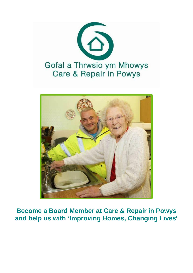



**Become a Board Member at Care & Repair in Powys and help us with 'Improving Homes, Changing Lives'**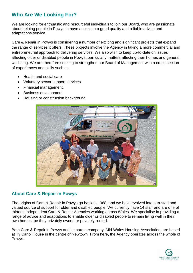# **Who Are We Looking For?**

We are looking for enthuastic and resourceful individuals to join our Board, who are passionate about helping people in Powys to have access to a good quality and reliable advice and adaptations service.

Care & Repair in Powys is considering a number of exciting and significant projects that expand the range of services it offers. These projects involve the Agency in taking a more commercial and entrepreneurial approach to delivering services. We also wish to keep up-to-date on issues affecting older or disabled people in Powys, particularly matters affecting their homes and general wellbeing. We are therefore seeking to strengthen our Board of Management with a cross-section of experiences and skills such as:

- Health and social care
- Voluntary sector support services
- Financial management.
- Business development
- Housing or construction background



#### **About Care & Repair in Powys**

The origins of Care & Repair in Powys go back to 1988, and we have evolved into a trusted and valued source of support for older and disabled people. We currently have 14 staff and are one of thirteen independent Care & Repair Agencies working across Wales. We specialise in providing a range of advice and adaptations to enable older or disabled people to remain living well in their own homes, be they privately owned or privately rented.

Both Care & Repair in Powys and its parent company, Mid-Wales Housing Association, are based at Tŷ Canol House in the centre of Newtown. From here, the Agency operates across the whole of Powys.

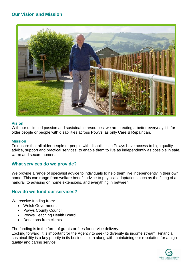### **Our Vision and Mission**



#### **Vision**

With our unlimited passion and sustainable resources, we are creating a better everyday life for older people or people with disabilities across Powys, as only Care & Repair can.

#### **Mission**

To ensure that all older people or people with disabilities in Powys have access to high quality advice, support and practical services: to enable them to live as independently as possible in safe, warm and secure homes.

#### **What services do we provide?**

We provide a range of specialist advice to individuals to help them live independently in their own home. This can range from welfare benefit advice to physical adaptations such as the fitting of a handrail to advising on home extensions, and everything in between!

#### **How do we fund our services?**

We receive funding from:

- Welsh Government
- Powys County Council
- Powys Teaching Health Board
- Donations from clients

The funding is in the form of grants or fees for service delivery.

Looking forward, it is important for the Agency to seek to diversify its income stream. Financial sustainability is a key priority in its business plan along with maintaining our reputation for a high quality and caring service.

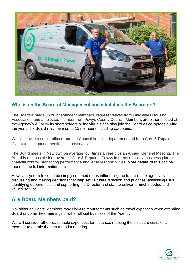

### **Who is on the Board of Management and what does the Board do?**

The Board is made up of independent members, representatives from Mid-Wales Housing Association, and an elected member from Powys County Council. Members are either elected at the Agency's AGM by its shareholders or individuals can also join the Board as co-optees during the year. The Board may have up to 15 members including co-optees.

We also invite a senior officer from the Council housing department and from Care & Repair Cymru to also attend meetings as observers.

The Board meets in Newtown on average four times a year plus an Annual General Meeting. The Board is responsible for governing Care & Repair in Powys in terms of policy, business planning, financial control, monitoring performance and legal responsibilities. More details of this can be found in the full information pack.

However, your role could be simply summed up as influencing the future of the agency by discussing and making decisions that help set its future direction and priorities; assessing risks, identifying opportunities and supporting the Director and staff to deliver a much needed and valued service.

## **Are Board Members paid?**

No, although Board Members may claim reimbursements such as travel expenses when attending Board or committee meetings or other official business of the Agency.

We will consider other reasonable expenses, for instance, meeting the childcare costs of a member to enable them to attend a meeting.